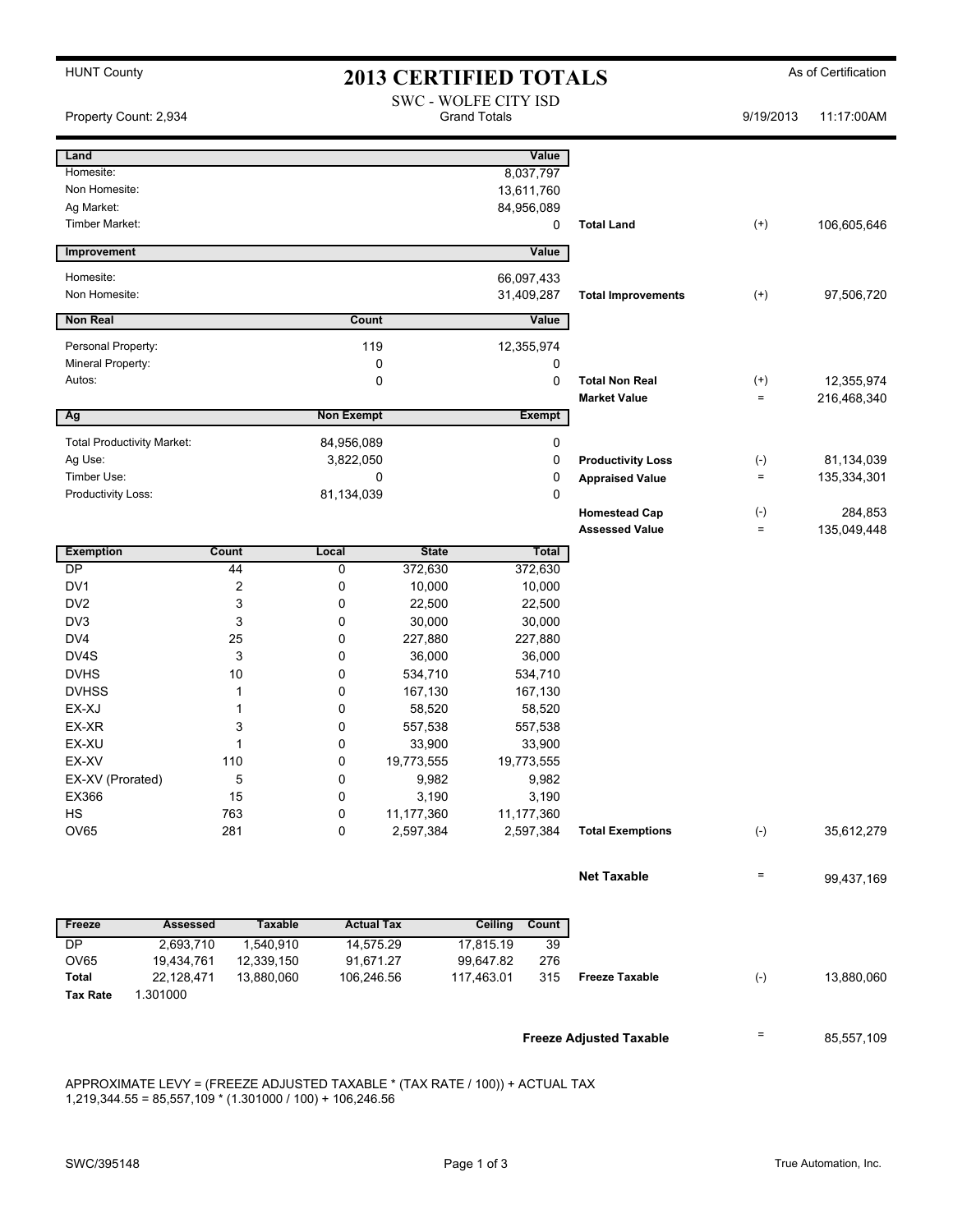| <b>HUNT County</b>                |                       |                           | <b>2013 CERTIFIED TOTALS</b>                |                                |                                         |                           | As of Certification |             |
|-----------------------------------|-----------------------|---------------------------|---------------------------------------------|--------------------------------|-----------------------------------------|---------------------------|---------------------|-------------|
| Property Count: 2,934             |                       |                           | SWC - WOLFE CITY ISD<br><b>Grand Totals</b> |                                |                                         | 9/19/2013                 | 11:17:00AM          |             |
| Land                              |                       |                           |                                             |                                | Value                                   |                           |                     |             |
| Homesite:                         |                       |                           |                                             |                                | 8,037,797                               |                           |                     |             |
| Non Homesite:                     |                       |                           |                                             |                                | 13,611,760                              |                           |                     |             |
| Ag Market:                        |                       |                           |                                             |                                | 84,956,089                              |                           |                     |             |
| Timber Market:                    |                       |                           |                                             |                                | 0                                       | <b>Total Land</b>         | $^{(+)}$            | 106,605,646 |
| <b>Improvement</b>                |                       |                           |                                             |                                | Value                                   |                           |                     |             |
| Homesite:                         |                       |                           |                                             |                                | 66,097,433                              |                           |                     |             |
| Non Homesite:                     |                       |                           |                                             |                                | 31,409,287                              | <b>Total Improvements</b> | $^{(+)}$            | 97,506,720  |
| <b>Non Real</b>                   |                       |                           |                                             | Count                          | Value                                   |                           |                     |             |
| Personal Property:                |                       |                           |                                             | 119                            | 12,355,974                              |                           |                     |             |
| Mineral Property:                 |                       |                           |                                             | 0                              | 0                                       |                           |                     |             |
| Autos:                            |                       |                           |                                             | 0                              | 0                                       | <b>Total Non Real</b>     | $^{(+)}$            | 12,355,974  |
|                                   |                       |                           |                                             |                                |                                         | <b>Market Value</b>       | $=$                 | 216,468,340 |
| Ag                                |                       |                           | <b>Non Exempt</b>                           |                                | <b>Exempt</b>                           |                           |                     |             |
| <b>Total Productivity Market:</b> |                       |                           | 84,956,089                                  |                                | 0                                       |                           |                     |             |
| Ag Use:                           |                       |                           | 3,822,050                                   |                                | 0                                       | <b>Productivity Loss</b>  | $(-)$               | 81,134,039  |
| Timber Use:                       |                       |                           |                                             | 0                              | 0                                       | <b>Appraised Value</b>    | $=$                 | 135,334,301 |
| Productivity Loss:                |                       | 81,134,039                |                                             |                                | 0                                       |                           |                     |             |
|                                   |                       |                           |                                             |                                |                                         | <b>Homestead Cap</b>      | $(-)$               | 284,853     |
|                                   |                       |                           |                                             |                                |                                         | <b>Assessed Value</b>     | $=$                 | 135,049,448 |
| <b>Exemption</b>                  | Count                 |                           | Local                                       | <b>State</b>                   | Total                                   |                           |                     |             |
| $\overline{DP}$                   | 44                    |                           | 0                                           | 372,630                        | 372,630                                 |                           |                     |             |
| DV1                               | $\overline{2}$        |                           | 0                                           | 10,000                         | 10,000                                  |                           |                     |             |
| DV <sub>2</sub>                   | 3                     |                           | 0                                           | 22,500                         | 22,500                                  |                           |                     |             |
| DV3                               | 3                     |                           | 0                                           | 30,000                         | 30,000                                  |                           |                     |             |
| DV <sub>4</sub>                   | 25                    |                           | 0                                           | 227,880                        | 227,880                                 |                           |                     |             |
| DV4S<br><b>DVHS</b>               | 3<br>10               |                           | 0                                           | 36,000                         | 36,000                                  |                           |                     |             |
| <b>DVHSS</b>                      | 1                     |                           | 0<br>0                                      | 534,710                        | 534,710                                 |                           |                     |             |
| EX-XJ                             | 1                     |                           | 0                                           | 167,130<br>58,520              | 167,130<br>58,520                       |                           |                     |             |
| EX-XR                             | 3                     |                           | 0                                           | 557,538                        | 557,538                                 |                           |                     |             |
| EX-XU                             | 1                     |                           | 0                                           | 33,900                         | 33,900                                  |                           |                     |             |
| EX-XV                             | 110                   |                           | 0                                           | 19,773,555                     | 19,773,555                              |                           |                     |             |
| EX-XV (Prorated)                  | 5                     |                           | 0                                           | 9,982                          | 9,982                                   |                           |                     |             |
| EX366                             | 15                    |                           | 0                                           | 3,190                          | 3,190                                   |                           |                     |             |
| HS                                | 763                   |                           | 0                                           | 11,177,360                     | 11,177,360                              |                           |                     |             |
| OV65                              | 281                   |                           | 0                                           | 2,597,384                      | 2,597,384                               | <b>Total Exemptions</b>   | $(-)$               | 35,612,279  |
|                                   |                       |                           |                                             |                                |                                         | <b>Net Taxable</b>        | $=$                 | 99,437,169  |
|                                   |                       |                           |                                             |                                |                                         |                           |                     |             |
| Freeze<br>P                       | Assessed<br>2.693,710 | <b>Taxable</b><br>1540910 |                                             | <b>Actual Tax</b><br>14 575 20 | <b>Ceiling Count</b><br>17 815 10<br>30 |                           |                     |             |
|                                   |                       |                           |                                             |                                |                                         |                           |                     |             |

| 115525          | лээсээси   | ι αλανισ   | льцаг гал  | осшия      | <b>VUULL</b> |
|-----------------|------------|------------|------------|------------|--------------|
| DΡ              | 2.693.710  | .540.910   | 14.575.29  | 17.815.19  | 39           |
| OV65            | 19.434.761 | 12.339.150 | 91.671.27  | 99.647.82  | 276          |
| Total           | 22.128.471 | 13.880.060 | 106.246.56 | 117.463.01 | 315          |
| <b>Tax Rate</b> | .301000    |            |            |            |              |

**Freeze Adjusted Taxable EXEC 100 Freeze Adjusted Taxable** 

APPROXIMATE LEVY = (FREEZE ADJUSTED TAXABLE \* (TAX RATE / 100)) + ACTUAL TAX 1,219,344.55 = 85,557,109 \* (1.301000 / 100) + 106,246.56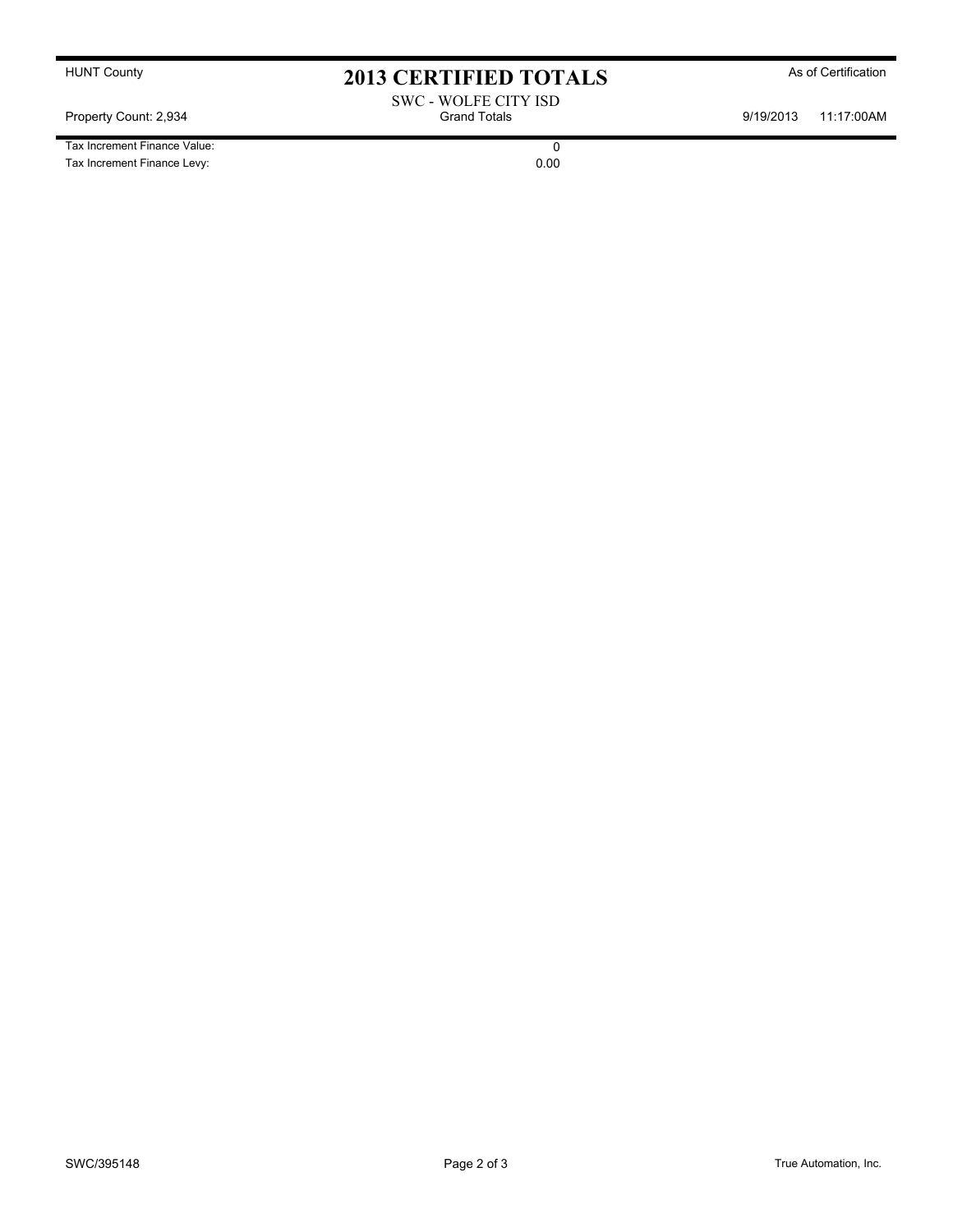Tax Increment Finance Value: 0<br>
Tax Increment Finance Levy: 0.00 Tax Increment Finance Levy:

HUNT County **As of Certification 2013 CERTIFIED TOTALS** As of Certification

SWC - WOLFE CITY ISD Property Count: 2,934 **Count: 2,934** Grand Totals **Grand Totals** 9/19/2013 11:17:00AM